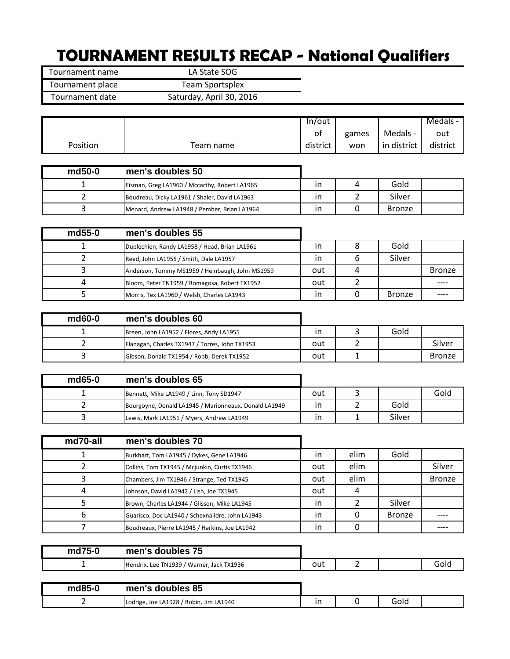## **TOURNAMENT RESULTS RECAP - National Qualifiers**

Tournament name LA State SOG Tournament place Team Sportsplex Tournament date Saturday, April 30, 2016

|                |                                                       | In/out   |                |               | Medals -      |
|----------------|-------------------------------------------------------|----------|----------------|---------------|---------------|
|                |                                                       | of       | games          | Medals -      | out           |
| Position       | Team name                                             | district | won            | in district   | district      |
|                |                                                       |          |                |               |               |
| md50-0         | men's doubles 50                                      |          |                |               |               |
| 1              | Eisman, Greg LA1960 / Mccarthy, Robert LA1965         | in       | 4              | Gold          |               |
| $\overline{2}$ | Boudreau, Dicky LA1961 / Shaler, David LA1963         | in       | $\overline{2}$ | Silver        |               |
| 3              | Menard, Andrew LA1948 / Pember, Brian LA1964          | in       | 0              | <b>Bronze</b> |               |
|                |                                                       |          |                |               |               |
| md55-0         | men's doubles 55                                      |          |                |               |               |
| 1              | Duplechien, Randy LA1958 / Head, Brian LA1961         | in       | 8              | Gold          |               |
| $\overline{2}$ | Reed, John LA1955 / Smith, Dale LA1957                | in.      | 6              | Silver        |               |
| 3              | Anderson, Tommy MS1959 / Heinbaugh, John MS1959       | out      | 4              |               | <b>Bronze</b> |
| 4              | Bloom, Peter TN1959 / Romagosa, Robert TX1952         | out      | 2              |               |               |
| 5              | Morris, Tex LA1960 / Welsh, Charles LA1943            | in       | 0              | <b>Bronze</b> | ----          |
|                |                                                       |          |                |               |               |
| md60-0         | men's doubles 60                                      |          |                |               |               |
| 1              | Breen, John LA1952 / Flores, Andy LA1955              | in       | 3              | Gold          |               |
| $\overline{2}$ | Flanagan, Charles TX1947 / Torres, John TX1953        | out      | 2              |               | Silver        |
| 3              | Gibson, Donald TX1954 / Robb, Derek TX1952            | out      | 1              |               | <b>Bronze</b> |
|                |                                                       |          |                |               |               |
| md65-0         | men's doubles 65                                      |          |                |               |               |
| 1              | Bennett, Mike LA1949 / Linn, Tony SD1947              | out      | 3              |               | Gold          |
| $\overline{2}$ | Bourgoyne, Donald LA1945 / Marionneaux, Donald LA1949 | in       | 2              | Gold          |               |
| 3              | Lewis, Mark LA1951 / Myers, Andrew LA1949             | in       | 1              | Silver        |               |
|                |                                                       |          |                |               |               |
| md70-all       | men's doubles 70                                      |          |                |               |               |
| 1              | Burkhart, Tom LA1945 / Dykes, Gene LA1946             | in       | elim           | Gold          |               |
| $\overline{2}$ | Collins, Tom TX1945 / Mcjunkin, Curtis TX1946         | out      | elim           |               | Silver        |
| 3              | Chambers, Jim TX1946 / Strange, Ted TX1945            | out      | elim           |               | <b>Bronze</b> |
| $\overline{4}$ | Johnson, David LA1942 / Lish, Joe TX1945              | out      | 4              |               |               |
| 5              | Brown, Charles LA1944 / Glisson, Mike LA1945          | in       | $\overline{2}$ | Silver        |               |
| 6              | Guarisco, Doc LA1940 / Schexnaildre, John LA1943      | in       | 0              | <b>Bronze</b> |               |
| 7              | Boudreaux, Pierre LA1945 / Harkins, Joe LA1942        | in.      | 0              |               | ----          |

| md75-0 | 75<br>men's doubles                       |     |  |  |
|--------|-------------------------------------------|-----|--|--|
|        | Hendrix, Lee TN1939 / Warner, Jack TX1936 | out |  |  |

| md85-0 | men's doubles 85                        |  |      |  |
|--------|-----------------------------------------|--|------|--|
|        | Lodrige, Joe LA1928 / Robin, Jim LA1940 |  | Gold |  |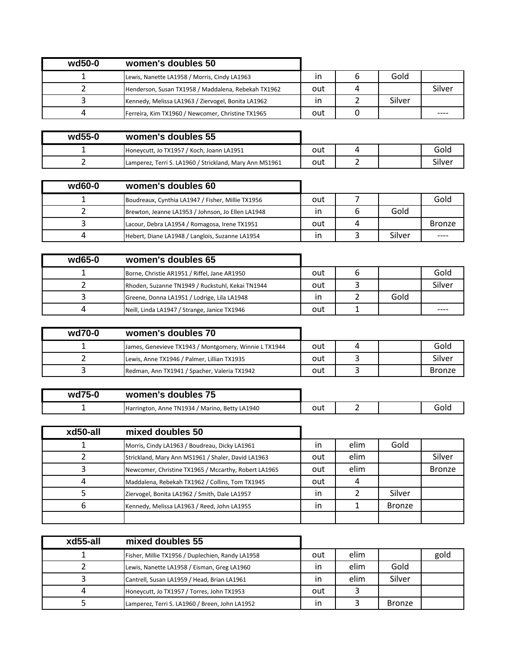| wd50-0 | women's doubles 50                                  |     |        |        |
|--------|-----------------------------------------------------|-----|--------|--------|
|        | Lewis, Nanette LA1958 / Morris, Cindy LA1963        |     | Gold   |        |
|        | Henderson, Susan TX1958 / Maddalena, Rebekah TX1962 | out |        | Silver |
|        | Kennedy, Melissa LA1963 / Ziervogel, Bonita LA1962  |     | Silver |        |
|        | Ferreira, Kim TX1960 / Newcomer, Christine TX1965   | out |        |        |

| wd55-0 | women's doubles 55                                      |     |  |        |
|--------|---------------------------------------------------------|-----|--|--------|
|        | Honeycutt, Jo TX1957 / Koch, Joann LA1951               | out |  | Gold   |
|        | Lamperez, Terri S. LA1960 / Strickland, Mary Ann MS1961 | out |  | Silver |

| $wd60-0$ | women's doubles 60                                |     |   |        |               |
|----------|---------------------------------------------------|-----|---|--------|---------------|
|          | Boudreaux, Cynthia LA1947 / Fisher, Millie TX1956 | out |   |        | Gold          |
|          | Brewton, Jeanne LA1953 / Johnson, Jo Ellen LA1948 |     |   | Gold   |               |
|          | Lacour, Debra LA1954 / Romagosa, Irene TX1951     | out | 4 |        | <b>Bronze</b> |
|          | Hebert, Diane LA1948 / Langlois, Suzanne LA1954   |     |   | Silver |               |

| wd65-0 | women's doubles 65                               |     |      |        |
|--------|--------------------------------------------------|-----|------|--------|
|        | Borne, Christie AR1951 / Riffel, Jane AR1950     | out |      | Gold   |
|        | Rhoden, Suzanne TN1949 / Ruckstuhl, Kekai TN1944 | out |      | Silver |
|        | Greene, Donna LA1951 / Lodrige, Lila LA1948      |     | Gold |        |
|        | Neill, Linda LA1947 / Strange, Janice TX1946     | out |      |        |

| wd70-0 | women's doubles 70                                   |     |  |               |
|--------|------------------------------------------------------|-----|--|---------------|
|        | James, Genevieve TX1943 / Montgomery, Winnie LTX1944 | out |  | Gold          |
|        | Lewis, Anne TX1946 / Palmer, Lillian TX1935          | out |  | Silver        |
|        | Redman, Ann TX1941 / Spacher, Valeria TX1942         | out |  | <b>Bronze</b> |

| wd75-0 | women's doubles 75                             |     |  |      |
|--------|------------------------------------------------|-----|--|------|
|        | Harrington, Anne TN1934 / Marino, Betty LA1940 | out |  | Gold |
|        |                                                |     |  |      |

| xd50-all | mixed doubles 50                                     |              |      |        |               |
|----------|------------------------------------------------------|--------------|------|--------|---------------|
|          | Morris, Cindy LA1963 / Boudreau, Dicky LA1961        | $\mathsf{I}$ | elim | Gold   |               |
|          | Strickland, Mary Ann MS1961 / Shaler, David LA1963   | out          | elim |        | Silver        |
|          | Newcomer, Christine TX1965 / Mccarthy, Robert LA1965 | out          | elim |        | <b>Bronze</b> |
|          | Maddalena, Rebekah TX1962 / Collins, Tom TX1945      | out          |      |        |               |
|          | Ziervogel, Bonita LA1962 / Smith, Dale LA1957        | in           |      | Silver |               |
|          | Kennedy, Melissa LA1963 / Reed, John LA1955          | in           |      | Bronze |               |
|          |                                                      |              |      |        |               |

| xd55-all | mixed doubles 55                                 |     |      |               |      |
|----------|--------------------------------------------------|-----|------|---------------|------|
|          | Fisher, Millie TX1956 / Duplechien, Randy LA1958 | out | elim |               | gold |
|          | Lewis, Nanette LA1958 / Eisman, Greg LA1960      | ın  | elim | Gold          |      |
|          | Cantrell, Susan LA1959 / Head, Brian LA1961      | in  | elim | Silver        |      |
|          | Honeycutt, Jo TX1957 / Torres, John TX1953       | out |      |               |      |
|          | Lamperez, Terri S. LA1960 / Breen, John LA1952   | in  |      | <b>Bronze</b> |      |